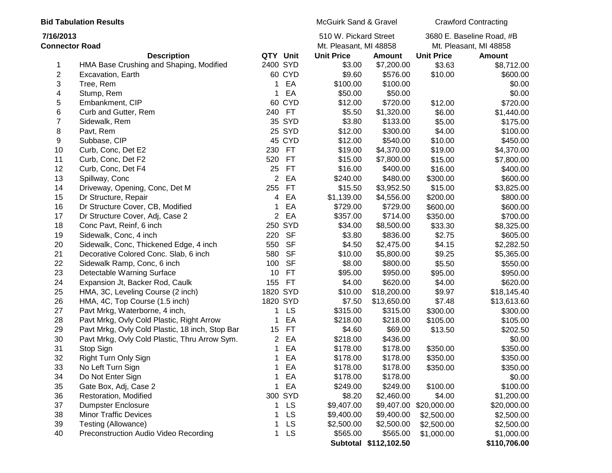| <b>Bid Tabulation Results</b>      |                                                 |          | McGuirk Sand & Gravel |                                                 | <b>Crawford Contracting</b> |                        |                                                     |
|------------------------------------|-------------------------------------------------|----------|-----------------------|-------------------------------------------------|-----------------------------|------------------------|-----------------------------------------------------|
| 7/16/2013<br><b>Connector Road</b> |                                                 |          |                       | 510 W. Pickard Street<br>Mt. Pleasant, MI 48858 |                             |                        | 3680 E. Baseline Road, #B<br>Mt. Pleasant, MI 48858 |
|                                    | <b>Description</b>                              | QTY Unit |                       | <b>Unit Price</b>                               | <b>Amount</b>               | <b>Unit Price</b>      | <b>Amount</b>                                       |
| 1                                  | HMA Base Crushing and Shaping, Modified         | 2400 SYD |                       | \$3.00                                          | \$7,200.00                  | \$3.63                 | \$8,712.00                                          |
| $\overline{\mathbf{c}}$            | Excavation, Earth                               |          | 60 CYD                | \$9.60                                          | \$576.00                    | \$10.00                | \$600.00                                            |
| 3                                  | Tree, Rem                                       | 1        | EA                    | \$100.00                                        | \$100.00                    |                        | \$0.00                                              |
| 4                                  | Stump, Rem                                      |          | EA                    | \$50.00                                         | \$50.00                     |                        | \$0.00                                              |
| 5                                  | Embankment, CIP                                 | 60       | <b>CYD</b>            | \$12.00                                         | \$720.00                    | \$12.00                | \$720.00                                            |
| 6                                  | Curb and Gutter, Rem                            | 240      | <b>FT</b>             | \$5.50                                          | \$1,320.00                  | \$6.00                 | \$1,440.00                                          |
| 7                                  | Sidewalk, Rem                                   |          | 35 SYD                | \$3.80                                          | \$133.00                    | \$5.00                 | \$175.00                                            |
| 8                                  | Pavt, Rem                                       |          | 25 SYD                | \$12.00                                         | \$300.00                    | \$4.00                 | \$100.00                                            |
| 9                                  | Subbase, CIP                                    |          | 45 CYD                | \$12.00                                         | \$540.00                    | \$10.00                | \$450.00                                            |
| 10                                 | Curb, Conc, Det E2                              | 230      | <b>FT</b>             | \$19.00                                         | \$4,370.00                  | \$19.00                | \$4,370.00                                          |
| 11                                 | Curb, Conc, Det F2                              | 520      | <b>FT</b>             | \$15.00                                         | \$7,800.00                  | \$15.00                | \$7,800.00                                          |
| 12                                 | Curb, Conc, Det F4                              | 25       | <b>FT</b>             | \$16.00                                         | \$400.00                    | \$16.00                | \$400.00                                            |
| 13                                 | Spillway, Conc                                  | 2        | EA                    | \$240.00                                        | \$480.00                    | \$300.00               | \$600.00                                            |
| 14                                 | Driveway, Opening, Conc, Det M                  | 255      | <b>FT</b>             | \$15.50                                         | \$3,952.50                  | \$15.00                | \$3,825.00                                          |
| 15                                 | Dr Structure, Repair                            | 4        | EA                    | \$1,139.00                                      | \$4,556.00                  | \$200.00               | \$800.00                                            |
| 16                                 | Dr Structure Cover, CB, Modified                |          | EA                    | \$729.00                                        | \$729.00                    | \$600.00               | \$600.00                                            |
| 17                                 | Dr Structure Cover, Adj, Case 2                 | 2        | EA                    | \$357.00                                        | \$714.00                    | \$350.00               | \$700.00                                            |
| 18                                 | Conc Pavt, Reinf, 6 inch                        |          | 250 SYD               | \$34.00                                         | \$8,500.00                  | \$33.30                | \$8,325.00                                          |
| 19                                 | Sidewalk, Conc, 4 inch                          | 220      | <b>SF</b>             | \$3.80                                          | \$836.00                    | \$2.75                 | \$605.00                                            |
| 20                                 | Sidewalk, Conc, Thickened Edge, 4 inch          | 550      | <b>SF</b>             | \$4.50                                          | \$2,475.00                  | \$4.15                 | \$2,282.50                                          |
| 21                                 | Decorative Colored Conc. Slab, 6 inch           | 580      | <b>SF</b>             | \$10.00                                         | \$5,800.00                  | \$9.25                 | \$5,365.00                                          |
| 22                                 | Sidewalk Ramp, Conc, 6 inch                     | 100      | <b>SF</b>             | \$8.00                                          | \$800.00                    | \$5.50                 | \$550.00                                            |
| 23                                 | Detectable Warning Surface                      | 10       | <b>FT</b>             | \$95.00                                         | \$950.00                    | \$95.00                | \$950.00                                            |
| 24                                 | Expansion Jt, Backer Rod, Caulk                 | 155      | <b>FT</b>             | \$4.00                                          | \$620.00                    | \$4.00                 | \$620.00                                            |
| 25                                 | HMA, 3C, Leveling Course (2 inch)               | 1820 SYD |                       | \$10.00                                         | \$18,200.00                 | \$9.97                 | \$18,145.40                                         |
| 26                                 | HMA, 4C, Top Course (1.5 inch)                  | 1820 SYD |                       | \$7.50                                          | \$13,650.00                 | \$7.48                 | \$13,613.60                                         |
| 27                                 | Pavt Mrkg, Waterborne, 4 inch,                  |          | <b>LS</b>             | \$315.00                                        | \$315.00                    | \$300.00               | \$300.00                                            |
| 28                                 | Pavt Mrkg, Ovly Cold Plastic, Right Arrow       |          | EA                    | \$218.00                                        | \$218.00                    | \$105.00               | \$105.00                                            |
| 29                                 | Pavt Mrkg, Ovly Cold Plastic, 18 inch, Stop Bar | 15       | <b>FT</b>             | \$4.60                                          | \$69.00                     | \$13.50                | \$202.50                                            |
| 30                                 | Pavt Mrkg, Ovly Cold Plastic, Thru Arrow Sym.   | 2        | EA                    | \$218.00                                        | \$436.00                    |                        | \$0.00                                              |
| 31                                 | Stop Sign                                       | 1        | EA                    | \$178.00                                        | \$178.00                    | \$350.00               | \$350.00                                            |
| 32                                 | Right Turn Only Sign                            | 1        | EA                    | \$178.00                                        | \$178.00                    | \$350.00               | \$350.00                                            |
| 33                                 | No Left Turn Sign                               | 1        | EA                    | \$178.00                                        | \$178.00                    | \$350.00               | \$350.00                                            |
| 34                                 | Do Not Enter Sign                               |          | EA                    | \$178.00                                        | \$178.00                    |                        | \$0.00                                              |
| 35                                 | Gate Box, Adj, Case 2                           | 1        | EA                    | \$249.00                                        | \$249.00                    | \$100.00               | \$100.00                                            |
| 36                                 | Restoration, Modified                           |          | 300 SYD               | \$8.20                                          | \$2,460.00                  | \$4.00                 | \$1,200.00                                          |
| 37                                 | <b>Dumpster Enclosure</b>                       |          | <b>LS</b>             | \$9,407.00                                      |                             | \$9,407.00 \$20,000.00 | \$20,000.00                                         |
| 38                                 | <b>Minor Traffic Devices</b>                    |          | LS                    | \$9,400.00                                      | \$9,400.00                  | \$2,500.00             | \$2,500.00                                          |
| 39                                 | Testing (Allowance)                             |          | <b>LS</b>             | \$2,500.00                                      | \$2,500.00                  | \$2,500.00             | \$2,500.00                                          |
| 40                                 | Preconstruction Audio Video Recording           | 1        | <b>LS</b>             | \$565.00                                        | \$565.00                    | \$1,000.00             | \$1,000.00                                          |
|                                    |                                                 |          |                       |                                                 | Subtotal \$112,102.50       |                        | \$110,706.00                                        |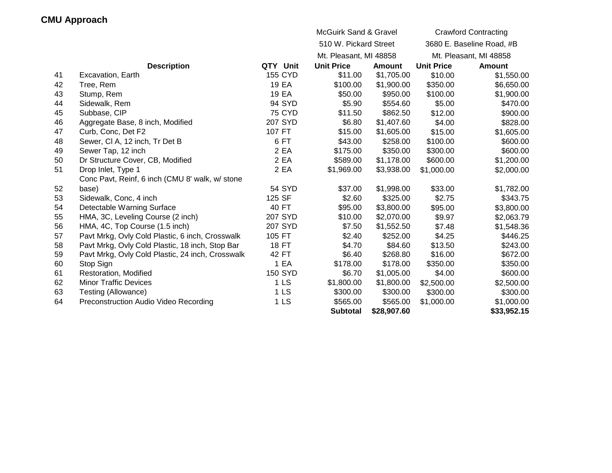|    | <b>CMU Approach</b>                              |                 |                                  |               |                             |                           |
|----|--------------------------------------------------|-----------------|----------------------------------|---------------|-----------------------------|---------------------------|
|    |                                                  |                 | <b>McGuirk Sand &amp; Gravel</b> |               | <b>Crawford Contracting</b> |                           |
|    |                                                  |                 | 510 W. Pickard Street            |               |                             | 3680 E. Baseline Road, #B |
|    |                                                  |                 | Mt. Pleasant, MI 48858           |               |                             | Mt. Pleasant, MI 48858    |
|    | <b>Description</b>                               | QTY Unit        | <b>Unit Price</b>                | <b>Amount</b> | <b>Unit Price</b>           | Amount                    |
| 41 | Excavation, Earth                                | <b>155 CYD</b>  | \$11.00                          | \$1,705.00    | \$10.00                     | \$1,550.00                |
| 42 | Tree, Rem                                        | 19 EA           | \$100.00                         | \$1,900.00    | \$350.00                    | \$6,650.00                |
| 43 | Stump, Rem                                       | 19 EA           | \$50.00                          | \$950.00      | \$100.00                    | \$1,900.00                |
| 44 | Sidewalk, Rem                                    | 94 SYD          | \$5.90                           | \$554.60      | \$5.00                      | \$470.00                  |
| 45 | Subbase, CIP                                     | <b>75 CYD</b>   | \$11.50                          | \$862.50      | \$12.00                     | \$900.00                  |
| 46 | Aggregate Base, 8 inch, Modified                 | 207 SYD         | \$6.80                           | \$1,407.60    | \$4.00                      | \$828.00                  |
| 47 | Curb, Conc, Det F2                               | 107 FT          | \$15.00                          | \$1,605.00    | \$15.00                     | \$1,605.00                |
| 48 | Sewer, CI A, 12 inch, Tr Det B                   | 6FT             | \$43.00                          | \$258.00      | \$100.00                    | \$600.00                  |
| 49 | Sewer Tap, 12 inch                               | 2 EA            | \$175.00                         | \$350.00      | \$300.00                    | \$600.00                  |
| 50 | Dr Structure Cover, CB, Modified                 | 2 EA            | \$589.00                         | \$1,178.00    | \$600.00                    | \$1,200.00                |
| 51 | Drop Inlet, Type 1                               | 2 EA            | \$1,969.00                       | \$3,938.00    | \$1,000.00                  | \$2,000.00                |
|    | Conc Pavt, Reinf, 6 inch (CMU 8' walk, w/ stone  |                 |                                  |               |                             |                           |
| 52 | base)                                            | <b>54 SYD</b>   | \$37.00                          | \$1,998.00    | \$33.00                     | \$1,782.00                |
| 53 | Sidewalk, Conc, 4 inch                           | 125 SF          | \$2.60                           | \$325.00      | \$2.75                      | \$343.75                  |
| 54 | Detectable Warning Surface                       | 40 FT           | \$95.00                          | \$3,800.00    | \$95.00                     | \$3,800.00                |
| 55 | HMA, 3C, Leveling Course (2 inch)                | 207 SYD         | \$10.00                          | \$2,070.00    | \$9.97                      | \$2,063.79                |
| 56 | HMA, 4C, Top Course (1.5 inch)                   | 207 SYD         | \$7.50                           | \$1,552.50    | \$7.48                      | \$1,548.36                |
| 57 | Pavt Mrkg, Ovly Cold Plastic, 6 inch, Crosswalk  | 105 FT          | \$2.40                           | \$252.00      | \$4.25                      | \$446.25                  |
| 58 | Pavt Mrkg, Ovly Cold Plastic, 18 inch, Stop Bar  | <b>18 FT</b>    | \$4.70                           | \$84.60       | \$13.50                     | \$243.00                  |
| 59 | Pavt Mrkg, Ovly Cold Plastic, 24 inch, Crosswalk | 42 FT           | \$6.40                           | \$268.80      | \$16.00                     | \$672.00                  |
| 60 | Stop Sign                                        | 1 EA            | \$178.00                         | \$178.00      | \$350.00                    | \$350.00                  |
| 61 | Restoration, Modified                            | <b>150 SYD</b>  | \$6.70                           | \$1,005.00    | \$4.00                      | \$600.00                  |
| 62 | <b>Minor Traffic Devices</b>                     | 1 <sub>LS</sub> | \$1,800.00                       | \$1,800.00    | \$2,500.00                  | \$2,500.00                |
| 63 | Testing (Allowance)                              | 1 <sub>LS</sub> | \$300.00                         | \$300.00      | \$300.00                    | \$300.00                  |
| 64 | Preconstruction Audio Video Recording            | 1 <sub>LS</sub> | \$565.00                         | \$565.00      | \$1,000.00                  | \$1,000.00                |
|    |                                                  |                 | <b>Subtotal</b>                  | \$28,907.60   |                             | \$33,952.15               |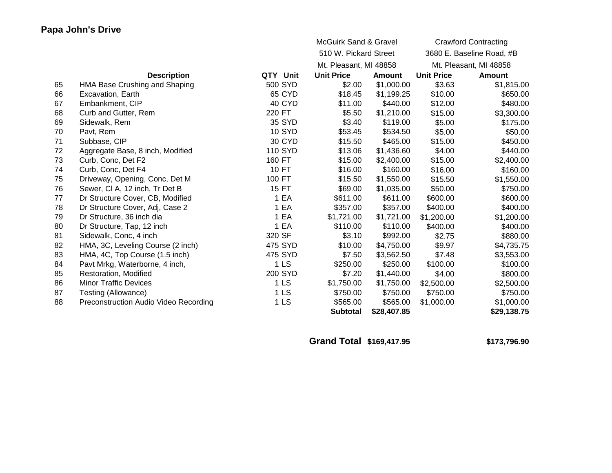|    | Papa John's Drive                     |                 |                                  |             |                   |                             |  |
|----|---------------------------------------|-----------------|----------------------------------|-------------|-------------------|-----------------------------|--|
|    |                                       |                 | <b>McGuirk Sand &amp; Gravel</b> |             |                   | <b>Crawford Contracting</b> |  |
|    |                                       |                 | 510 W. Pickard Street            |             |                   | 3680 E. Baseline Road, #B   |  |
|    |                                       |                 | Mt. Pleasant, MI 48858           |             |                   | Mt. Pleasant, MI 48858      |  |
|    | <b>Description</b>                    | QTY Unit        | <b>Unit Price</b>                | Amount      | <b>Unit Price</b> | <b>Amount</b>               |  |
| 65 | HMA Base Crushing and Shaping         | 500 SYD         | \$2.00                           | \$1,000.00  | \$3.63            | \$1,815.00                  |  |
| 66 | Excavation, Earth                     | 65 CYD          | \$18.45                          | \$1,199.25  | \$10.00           | \$650.00                    |  |
| 67 | Embankment, CIP                       | 40 CYD          | \$11.00                          | \$440.00    | \$12.00           | \$480.00                    |  |
| 68 | Curb and Gutter, Rem                  | 220 FT          | \$5.50                           | \$1,210.00  | \$15.00           | \$3,300.00                  |  |
| 69 | Sidewalk, Rem                         | 35 SYD          | \$3.40                           | \$119.00    | \$5.00            | \$175.00                    |  |
| 70 | Pavt, Rem                             | <b>10 SYD</b>   | \$53.45                          | \$534.50    | \$5.00            | \$50.00                     |  |
| 71 | Subbase, CIP                          | 30 CYD          | \$15.50                          | \$465.00    | \$15.00           | \$450.00                    |  |
| 72 | Aggregate Base, 8 inch, Modified      | 110 SYD         | \$13.06                          | \$1,436.60  | \$4.00            | \$440.00                    |  |
| 73 | Curb, Conc, Det F2                    | 160 FT          | \$15.00                          | \$2,400.00  | \$15.00           | \$2,400.00                  |  |
| 74 | Curb, Conc, Det F4                    | 10 FT           | \$16.00                          | \$160.00    | \$16.00           | \$160.00                    |  |
| 75 | Driveway, Opening, Conc, Det M        | 100 FT          | \$15.50                          | \$1,550.00  | \$15.50           | \$1,550.00                  |  |
| 76 | Sewer, CI A, 12 inch, Tr Det B        | 15 FT           | \$69.00                          | \$1,035.00  | \$50.00           | \$750.00                    |  |
| 77 | Dr Structure Cover, CB, Modified      | 1 EA            | \$611.00                         | \$611.00    | \$600.00          | \$600.00                    |  |
| 78 | Dr Structure Cover, Adj, Case 2       | 1 EA            | \$357.00                         | \$357.00    | \$400.00          | \$400.00                    |  |
| 79 | Dr Structure, 36 inch dia             | 1 EA            | \$1,721.00                       | \$1,721.00  | \$1,200.00        | \$1,200.00                  |  |
| 80 | Dr Structure, Tap, 12 inch            | 1 EA            | \$110.00                         | \$110.00    | \$400.00          | \$400.00                    |  |
| 81 | Sidewalk, Conc, 4 inch                | 320 SF          | \$3.10                           | \$992.00    | \$2.75            | \$880.00                    |  |
| 82 | HMA, 3C, Leveling Course (2 inch)     | 475 SYD         | \$10.00                          | \$4,750.00  | \$9.97            | \$4,735.75                  |  |
| 83 | HMA, 4C, Top Course (1.5 inch)        | 475 SYD         | \$7.50                           | \$3,562.50  | \$7.48            | \$3,553.00                  |  |
| 84 | Pavt Mrkg, Waterborne, 4 inch,        | 1 <sub>LS</sub> | \$250.00                         | \$250.00    | \$100.00          | \$100.00                    |  |
| 85 | Restoration, Modified                 | 200 SYD         | \$7.20                           | \$1,440.00  | \$4.00            | \$800.00                    |  |
| 86 | <b>Minor Traffic Devices</b>          | 1 <sub>LS</sub> | \$1,750.00                       | \$1,750.00  | \$2,500.00        | \$2,500.00                  |  |
| 87 | Testing (Allowance)                   | 1 <sub>LS</sub> | \$750.00                         | \$750.00    | \$750.00          | \$750.00                    |  |
| 88 | Preconstruction Audio Video Recording | 1 <sub>LS</sub> | \$565.00                         | \$565.00    | \$1,000.00        | \$1,000.00                  |  |
|    |                                       |                 | <b>Subtotal</b>                  | \$28,407.85 |                   | \$29,138.75                 |  |

**Grand Total \$169,417.95 \$173,796.90**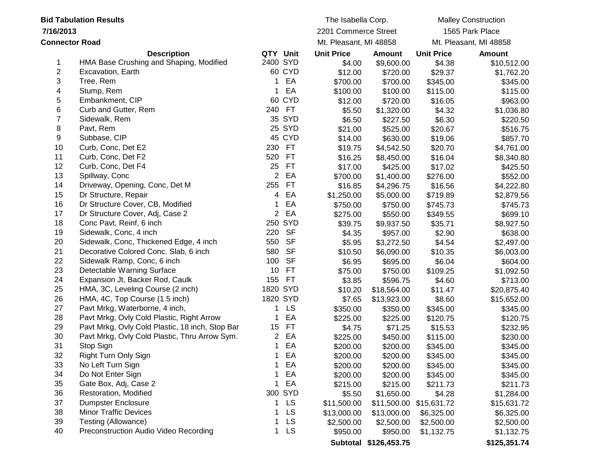| <b>Bid Tabulation Results</b> |                                                 |                | The Isabella Corp. |                        | <b>Malley Construction</b> |                         |               |  |
|-------------------------------|-------------------------------------------------|----------------|--------------------|------------------------|----------------------------|-------------------------|---------------|--|
|                               | 7/16/2013                                       |                |                    | 2201 Commerce Street   |                            | 1565 Park Place         |               |  |
| <b>Connector Road</b>         |                                                 |                |                    | Mt. Pleasant, MI 48858 |                            | Mt. Pleasant, MI 48858  |               |  |
|                               | <b>Description</b>                              | QTY Unit       |                    | <b>Unit Price</b>      | Amount                     | <b>Unit Price</b>       | <b>Amount</b> |  |
| 1                             | HMA Base Crushing and Shaping, Modified         | 2400 SYD       |                    | \$4.00                 | \$9,600.00                 | \$4.38                  | \$10,512.00   |  |
| 2                             | Excavation, Earth                               |                | 60 CYD             | \$12.00                | \$720.00                   | \$29.37                 | \$1,762.20    |  |
| 3                             | Tree, Rem                                       | 1              | EA                 | \$700.00               | \$700.00                   | \$345.00                | \$345.00      |  |
| 4                             | Stump, Rem                                      |                | EA                 | \$100.00               | \$100.00                   | \$115.00                | \$115.00      |  |
| 5                             | Embankment, CIP                                 |                | 60 CYD             | \$12.00                | \$720.00                   | \$16.05                 | \$963.00      |  |
| 6                             | Curb and Gutter, Rem                            | 240            | <b>FT</b>          | \$5.50                 | \$1,320.00                 | \$4.32                  | \$1,036.80    |  |
| 7                             | Sidewalk, Rem                                   |                | 35 SYD             | \$6.50                 | \$227.50                   | \$6.30                  | \$220.50      |  |
| 8                             | Pavt, Rem                                       |                | 25 SYD             | \$21.00                | \$525.00                   | \$20.67                 | \$516.75      |  |
| 9                             | Subbase, CIP                                    |                | 45 CYD             | \$14.00                | \$630.00                   | \$19.06                 | \$857.70      |  |
| 10                            | Curb, Conc, Det E2                              | 230            | <b>FT</b>          | \$19.75                | \$4,542.50                 | \$20.70                 | \$4,761.00    |  |
| 11                            | Curb, Conc, Det F2                              | 520            | <b>FT</b>          | \$16.25                | \$8,450.00                 | \$16.04                 | \$8,340.80    |  |
| 12                            | Curb, Conc, Det F4                              | 25             | <b>FT</b>          | \$17.00                | \$425.00                   | \$17.02                 | \$425.50      |  |
| 13                            | Spillway, Conc                                  | $\overline{c}$ | EA                 | \$700.00               | \$1,400.00                 | \$276.00                | \$552.00      |  |
| 14                            | Driveway, Opening, Conc, Det M                  | 255            | <b>FT</b>          | \$16.85                | \$4,296.75                 | \$16.56                 | \$4,222.80    |  |
| 15                            | Dr Structure, Repair                            | 4              | EA                 | \$1,250.00             | \$5,000.00                 | \$719.89                | \$2,879.56    |  |
| 16                            | Dr Structure Cover, CB, Modified                |                | EA                 | \$750.00               | \$750.00                   | \$745.73                | \$745.73      |  |
| 17                            | Dr Structure Cover, Adj, Case 2                 | $\overline{2}$ | EA                 | \$275.00               | \$550.00                   | \$349.55                | \$699.10      |  |
| 18                            | Conc Pavt, Reinf, 6 inch                        |                | 250 SYD            | \$39.75                | \$9,937.50                 | \$35.71                 | \$8,927.50    |  |
| 19                            | Sidewalk, Conc, 4 inch                          | 220            | <b>SF</b>          | \$4.35                 | \$957.00                   | \$2.90                  | \$638.00      |  |
| 20                            | Sidewalk, Conc, Thickened Edge, 4 inch          | 550            | <b>SF</b>          | \$5.95                 | \$3,272.50                 | \$4.54                  | \$2,497.00    |  |
| 21                            | Decorative Colored Conc. Slab, 6 inch           | 580            | <b>SF</b>          | \$10.50                | \$6,090.00                 | \$10.35                 | \$6,003.00    |  |
| 22                            | Sidewalk Ramp, Conc, 6 inch                     | 100            | <b>SF</b>          | \$6.95                 | \$695.00                   | \$6.04                  | \$604.00      |  |
| 23                            | Detectable Warning Surface                      | 10             | <b>FT</b>          | \$75.00                | \$750.00                   | \$109.25                | \$1,092.50    |  |
| 24                            | Expansion Jt, Backer Rod, Caulk                 | 155            | <b>FT</b>          | \$3.85                 | \$596.75                   | \$4.60                  | \$713.00      |  |
| 25                            | HMA, 3C, Leveling Course (2 inch)               | 1820 SYD       |                    | \$10.20                | \$18,564.00                | \$11.47                 | \$20,875.40   |  |
| 26                            | HMA, 4C, Top Course (1.5 inch)                  | 1820 SYD       |                    | \$7.65                 | \$13,923.00                | \$8.60                  | \$15,652.00   |  |
| 27                            | Pavt Mrkg, Waterborne, 4 inch,                  | 1              | <b>LS</b>          | \$350.00               | \$350.00                   | \$345.00                | \$345.00      |  |
| 28                            | Pavt Mrkg, Ovly Cold Plastic, Right Arrow       |                | EA                 | \$225.00               | \$225.00                   | \$120.75                | \$120.75      |  |
| 29                            | Pavt Mrkg, Ovly Cold Plastic, 18 inch, Stop Bar | 15             | <b>FT</b>          | \$4.75                 | \$71.25                    | \$15.53                 | \$232.95      |  |
| 30                            | Pavt Mrkg, Ovly Cold Plastic, Thru Arrow Sym.   | 2              | EA                 | \$225.00               | \$450.00                   | \$115.00                | \$230.00      |  |
| 31                            | Stop Sign                                       |                | EA                 | \$200.00               | \$200.00                   | \$345.00                | \$345.00      |  |
| 32                            | Right Turn Only Sign                            | 1              | EA                 | \$200.00               | \$200.00                   | \$345.00                | \$345.00      |  |
| 33                            | No Left Turn Sign                               | 1              | EA                 | \$200.00               | \$200.00                   | \$345.00                | \$345.00      |  |
| 34                            | Do Not Enter Sign                               |                | EA                 | \$200.00               | \$200.00                   | \$345.00                | \$345.00      |  |
| 35                            | Gate Box, Adj, Case 2                           |                | EA                 | \$215.00               | \$215.00                   | \$211.73                | \$211.73      |  |
| 36                            | Restoration, Modified                           |                | 300 SYD            | \$5.50                 | \$1,650.00                 | \$4.28                  | \$1,284.00    |  |
| 37                            | <b>Dumpster Enclosure</b>                       |                | <b>LS</b>          | \$11,500.00            |                            | \$11,500.00 \$15,631.72 | \$15,631.72   |  |
| 38                            | <b>Minor Traffic Devices</b>                    |                | LS                 | \$13,000.00            | \$13,000.00                | \$6,325.00              | \$6,325.00    |  |
| 39                            | Testing (Allowance)                             |                | <b>LS</b>          | \$2,500.00             | \$2,500.00                 | \$2,500.00              | \$2,500.00    |  |
| 40                            | Preconstruction Audio Video Recording           | 1              | <b>LS</b>          | \$950.00               | \$950.00                   | \$1,132.75              | \$1,132.75    |  |
|                               |                                                 |                |                    |                        | Subtotal \$126,453.75      |                         | \$125,351.74  |  |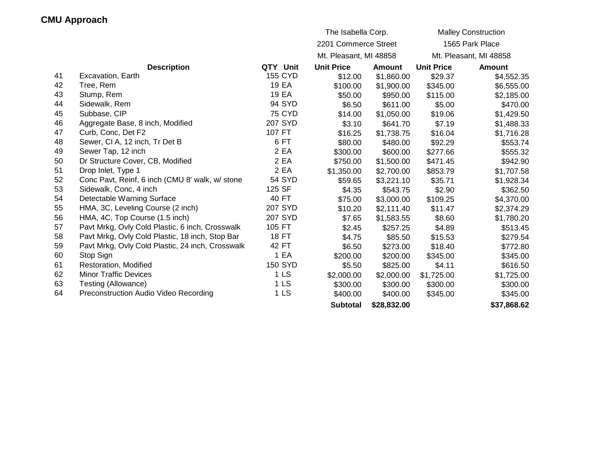|    |                                                  |                 | The Isabella Corp.     |               |                   | <b>Malley Construction</b> |
|----|--------------------------------------------------|-----------------|------------------------|---------------|-------------------|----------------------------|
|    |                                                  |                 | 2201 Commerce Street   |               |                   | 1565 Park Place            |
|    |                                                  |                 | Mt. Pleasant, MI 48858 |               |                   | Mt. Pleasant, MI 48858     |
|    | <b>Description</b>                               | QTY Unit        | <b>Unit Price</b>      | <b>Amount</b> | <b>Unit Price</b> | <b>Amount</b>              |
| 41 | Excavation, Earth                                | <b>155 CYD</b>  | \$12.00                | \$1,860.00    | \$29.37           | \$4,552.35                 |
| 42 | Tree, Rem                                        | 19 EA           | \$100.00               | \$1,900.00    | \$345.00          | \$6,555.00                 |
| 43 | Stump, Rem                                       | 19 EA           | \$50.00                | \$950.00      | \$115.00          | \$2,185.00                 |
| 44 | Sidewalk, Rem                                    | 94 SYD          | \$6.50                 | \$611.00      | \$5.00            | \$470.00                   |
| 45 | Subbase, CIP                                     | <b>75 CYD</b>   | \$14.00                | \$1,050.00    | \$19.06           | \$1,429.50                 |
| 46 | Aggregate Base, 8 inch, Modified                 | 207 SYD         | \$3.10                 | \$641.70      | \$7.19            | \$1,488.33                 |
| 47 | Curb, Conc, Det F2                               | 107 FT          | \$16.25                | \$1,738.75    | \$16.04           | \$1,716.28                 |
| 48 | Sewer, CI A, 12 inch, Tr Det B                   | 6 FT            | \$80.00                | \$480.00      | \$92.29           | \$553.74                   |
| 49 | Sewer Tap, 12 inch                               | 2 EA            | \$300.00               | \$600.00      | \$277.66          | \$555.32                   |
| 50 | Dr Structure Cover, CB, Modified                 | 2 EA            | \$750.00               | \$1,500.00    | \$471.45          | \$942.90                   |
| 51 | Drop Inlet, Type 1                               | 2 EA            | \$1,350.00             | \$2,700.00    | \$853.79          | \$1,707.58                 |
| 52 | Conc Pavt, Reinf, 6 inch (CMU 8' walk, w/ stone  | <b>54 SYD</b>   | \$59.65                | \$3,221.10    | \$35.71           | \$1,928.34                 |
| 53 | Sidewalk, Conc, 4 inch                           | 125 SF          | \$4.35                 | \$543.75      | \$2.90            | \$362.50                   |
| 54 | Detectable Warning Surface                       | 40 FT           | \$75.00                | \$3,000.00    | \$109.25          | \$4,370.00                 |
| 55 | HMA, 3C, Leveling Course (2 inch)                | 207 SYD         | \$10.20                | \$2,111.40    | \$11.47           | \$2,374.29                 |
| 56 | HMA, 4C, Top Course (1.5 inch)                   | 207 SYD         | \$7.65                 | \$1,583.55    | \$8.60            | \$1,780.20                 |
| 57 | Pavt Mrkg, Ovly Cold Plastic, 6 inch, Crosswalk  | 105 FT          | \$2.45                 | \$257.25      | \$4.89            | \$513.45                   |
| 58 | Pavt Mrkg, Ovly Cold Plastic, 18 inch, Stop Bar  | 18 FT           | \$4.75                 | \$85.50       | \$15.53           | \$279.54                   |
| 59 | Pavt Mrkg, Ovly Cold Plastic, 24 inch, Crosswalk | 42 FT           | \$6.50                 | \$273.00      | \$18.40           | \$772.80                   |
| 60 | Stop Sign                                        | 1 EA            | \$200.00               | \$200.00      | \$345.00          | \$345.00                   |
| 61 | Restoration, Modified                            | <b>150 SYD</b>  | \$5.50                 | \$825.00      | \$4.11            | \$616.50                   |
| 62 | <b>Minor Traffic Devices</b>                     | 1 <sub>LS</sub> | \$2,000.00             | \$2,000.00    | \$1,725.00        | \$1,725.00                 |
| 63 | Testing (Allowance)                              | 1 <sub>LS</sub> | \$300.00               | \$300.00      | \$300.00          | \$300.00                   |
| 64 | Preconstruction Audio Video Recording            | 1 <sub>LS</sub> | \$400.00               | \$400.00      | \$345.00          | \$345.00                   |
|    |                                                  |                 | <b>Subtotal</b>        | \$28,832.00   |                   | \$37,868.62                |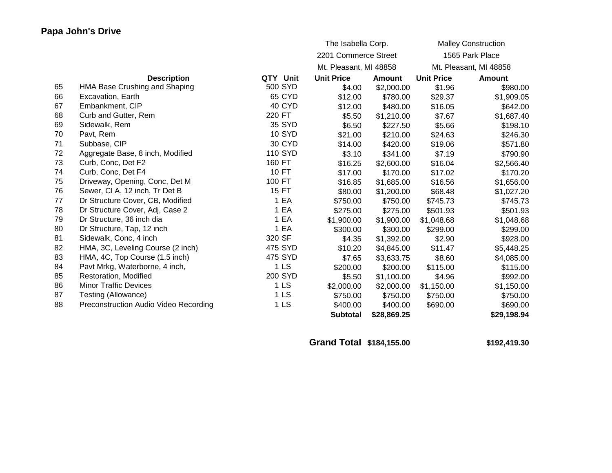|    |                                       |                 | The Isabella Corp.     |               |                   | <b>Malley Construction</b> |
|----|---------------------------------------|-----------------|------------------------|---------------|-------------------|----------------------------|
|    |                                       |                 | 2201 Commerce Street   |               |                   | 1565 Park Place            |
|    |                                       |                 | Mt. Pleasant, MI 48858 |               |                   | Mt. Pleasant, MI 48858     |
|    | <b>Description</b>                    | QTY Unit        | <b>Unit Price</b>      | <b>Amount</b> | <b>Unit Price</b> | <b>Amount</b>              |
| 65 | HMA Base Crushing and Shaping         | 500 SYD         | \$4.00                 | \$2,000.00    | \$1.96            | \$980.00                   |
| 66 | Excavation, Earth                     | 65 CYD          | \$12.00                | \$780.00      | \$29.37           | \$1,909.05                 |
| 67 | Embankment, CIP                       | 40 CYD          | \$12.00                | \$480.00      | \$16.05           | \$642.00                   |
| 68 | Curb and Gutter, Rem                  | 220 FT          | \$5.50                 | \$1,210.00    | \$7.67            | \$1,687.40                 |
| 69 | Sidewalk, Rem                         | 35 SYD          | \$6.50                 | \$227.50      | \$5.66            | \$198.10                   |
| 70 | Pavt, Rem                             | <b>10 SYD</b>   | \$21.00                | \$210.00      | \$24.63           | \$246.30                   |
| 71 | Subbase, CIP                          | 30 CYD          | \$14.00                | \$420.00      | \$19.06           | \$571.80                   |
| 72 | Aggregate Base, 8 inch, Modified      | <b>110 SYD</b>  | \$3.10                 | \$341.00      | \$7.19            | \$790.90                   |
| 73 | Curb, Conc, Det F2                    | 160 FT          | \$16.25                | \$2,600.00    | \$16.04           | \$2,566.40                 |
| 74 | Curb, Conc, Det F4                    | 10 FT           | \$17.00                | \$170.00      | \$17.02           | \$170.20                   |
| 75 | Driveway, Opening, Conc, Det M        | 100 FT          | \$16.85                | \$1,685.00    | \$16.56           | \$1,656.00                 |
| 76 | Sewer, CI A, 12 inch, Tr Det B        | 15 FT           | \$80.00                | \$1,200.00    | \$68.48           | \$1,027.20                 |
| 77 | Dr Structure Cover, CB, Modified      | 1 EA            | \$750.00               | \$750.00      | \$745.73          | \$745.73                   |
| 78 | Dr Structure Cover, Adj, Case 2       | 1 EA            | \$275.00               | \$275.00      | \$501.93          | \$501.93                   |
| 79 | Dr Structure, 36 inch dia             | 1 EA            | \$1,900.00             | \$1,900.00    | \$1,048.68        | \$1,048.68                 |
| 80 | Dr Structure, Tap, 12 inch            | 1 EA            | \$300.00               | \$300.00      | \$299.00          | \$299.00                   |
| 81 | Sidewalk, Conc, 4 inch                | 320 SF          | \$4.35                 | \$1,392.00    | \$2.90            | \$928.00                   |
| 82 | HMA, 3C, Leveling Course (2 inch)     | 475 SYD         | \$10.20                | \$4,845.00    | \$11.47           | \$5,448.25                 |
| 83 | HMA, 4C, Top Course (1.5 inch)        | 475 SYD         | \$7.65                 | \$3,633.75    | \$8.60            | \$4,085.00                 |
| 84 | Pavt Mrkg, Waterborne, 4 inch,        | 1 <sub>LS</sub> | \$200.00               | \$200.00      | \$115.00          | \$115.00                   |
| 85 | Restoration, Modified                 | 200 SYD         | \$5.50                 | \$1,100.00    | \$4.96            | \$992.00                   |
| 86 | <b>Minor Traffic Devices</b>          | 1 <sub>LS</sub> | \$2,000.00             | \$2,000.00    | \$1,150.00        | \$1,150.00                 |
| 87 | Testing (Allowance)                   | 1 <sub>LS</sub> | \$750.00               | \$750.00      | \$750.00          | \$750.00                   |
| 88 | Preconstruction Audio Video Recording | 1 <sub>LS</sub> | \$400.00               | \$400.00      | \$690.00          | \$690.00                   |
|    |                                       |                 | <b>Subtotal</b>        | \$28,869.25   |                   | \$29,198.94                |

**Grand Total \$184,155.00 \$192,419.30**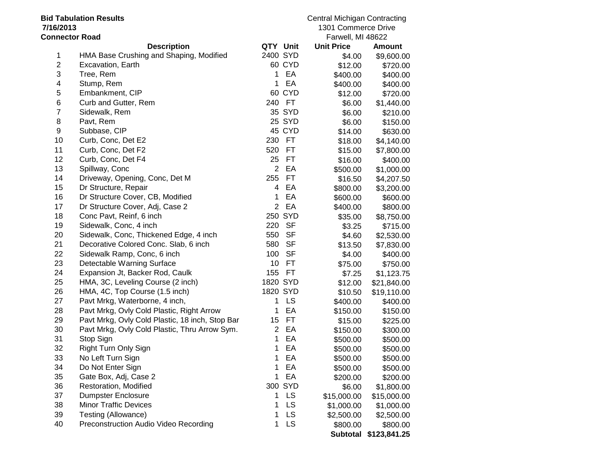| <b>Bid Tabulation Results</b> |                                                 |                |                     | <b>Central Michigan Contracting</b> |               |  |
|-------------------------------|-------------------------------------------------|----------------|---------------------|-------------------------------------|---------------|--|
| 7/16/2013                     |                                                 |                | 1301 Commerce Drive |                                     |               |  |
| <b>Connector Road</b>         |                                                 |                |                     | Farwell, MI 48622                   |               |  |
|                               | <b>Description</b>                              | QTY Unit       |                     | <b>Unit Price</b>                   | <b>Amount</b> |  |
| 1                             | HMA Base Crushing and Shaping, Modified         | 2400 SYD       |                     | \$4.00                              | \$9,600.00    |  |
| $\overline{c}$                | Excavation, Earth                               |                | 60 CYD              | \$12.00                             | \$720.00      |  |
| 3                             | Tree, Rem                                       | 1.             | EA                  | \$400.00                            | \$400.00      |  |
| $\overline{\mathbf{4}}$       | Stump, Rem                                      | 1              | EA                  | \$400.00                            | \$400.00      |  |
| 5                             | Embankment, CIP                                 |                | 60 CYD              | \$12.00                             | \$720.00      |  |
| 6                             | Curb and Gutter, Rem                            |                | 240 FT              | \$6.00                              | \$1,440.00    |  |
| $\overline{7}$                | Sidewalk, Rem                                   |                | 35 SYD              | \$6.00                              | \$210.00      |  |
| 8                             | Pavt, Rem                                       |                | 25 SYD              | \$6.00                              | \$150.00      |  |
| 9                             | Subbase, CIP                                    |                | 45 CYD              | \$14.00                             | \$630.00      |  |
| 10                            | Curb, Conc, Det E2                              |                | 230 FT              | \$18.00                             | \$4,140.00    |  |
| 11                            | Curb, Conc, Det F2                              | 520            | FT                  | \$15.00                             | \$7,800.00    |  |
| 12                            | Curb, Conc, Det F4                              | 25             | FT                  | \$16.00                             | \$400.00      |  |
| 13                            | Spillway, Conc                                  | $\overline{2}$ | EA                  | \$500.00                            | \$1,000.00    |  |
| 14                            | Driveway, Opening, Conc, Det M                  | 255            | <b>FT</b>           | \$16.50                             | \$4,207.50    |  |
| 15                            | Dr Structure, Repair                            | 4              | EA                  | \$800.00                            | \$3,200.00    |  |
| 16                            | Dr Structure Cover, CB, Modified                | 1              | EA                  | \$600.00                            | \$600.00      |  |
| 17                            | Dr Structure Cover, Adj, Case 2                 | $\overline{2}$ | EA                  | \$400.00                            | \$800.00      |  |
| 18                            | Conc Pavt, Reinf, 6 inch                        |                | 250 SYD             | \$35.00                             | \$8,750.00    |  |
| 19                            | Sidewalk, Conc, 4 inch                          | 220            | <b>SF</b>           | \$3.25                              | \$715.00      |  |
| 20                            | Sidewalk, Conc, Thickened Edge, 4 inch          | 550            | <b>SF</b>           | \$4.60                              | \$2,530.00    |  |
| 21                            | Decorative Colored Conc. Slab, 6 inch           | 580            | <b>SF</b>           | \$13.50                             | \$7,830.00    |  |
| 22                            | Sidewalk Ramp, Conc, 6 inch                     | 100            | <b>SF</b>           | \$4.00                              | \$400.00      |  |
| 23                            | Detectable Warning Surface                      | 10             | <b>FT</b>           | \$75.00                             | \$750.00      |  |
| 24                            | Expansion Jt, Backer Rod, Caulk                 | 155            | <b>FT</b>           | \$7.25                              | \$1,123.75    |  |
| 25                            | HMA, 3C, Leveling Course (2 inch)               | 1820 SYD       |                     | \$12.00                             | \$21,840.00   |  |
| 26                            | HMA, 4C, Top Course (1.5 inch)                  | 1820 SYD       |                     | \$10.50                             | \$19,110.00   |  |
| 27                            | Pavt Mrkg, Waterborne, 4 inch,                  | 1              | LS                  | \$400.00                            | \$400.00      |  |
| 28                            | Pavt Mrkg, Ovly Cold Plastic, Right Arrow       | 1              | EA                  | \$150.00                            | \$150.00      |  |
| 29                            | Pavt Mrkg, Ovly Cold Plastic, 18 inch, Stop Bar | 15             | <b>FT</b>           | \$15.00                             | \$225.00      |  |
| 30                            | Pavt Mrkg, Ovly Cold Plastic, Thru Arrow Sym.   | $\overline{2}$ | EA                  | \$150.00                            | \$300.00      |  |
| 31                            | Stop Sign                                       | 1              | EA                  | \$500.00                            | \$500.00      |  |
| 32                            | Right Turn Only Sign                            | 1              | EA                  | \$500.00                            | \$500.00      |  |
| 33                            | No Left Turn Sign                               | 1              | EA                  | \$500.00                            | \$500.00      |  |
| 34                            | Do Not Enter Sign                               | 1.             | EA                  | \$500.00                            | \$500.00      |  |
| 35                            | Gate Box, Adj, Case 2                           | 1              | EA                  | \$200.00                            | \$200.00      |  |
| 36                            | Restoration, Modified                           |                | 300 SYD             | \$6.00                              | \$1,800.00    |  |
| 37                            | <b>Dumpster Enclosure</b>                       | 1              | LS                  | \$15,000.00                         | \$15,000.00   |  |
| 38                            | <b>Minor Traffic Devices</b>                    | 1              | <b>LS</b>           | \$1,000.00                          | \$1,000.00    |  |
| 39                            | Testing (Allowance)                             | 1              | LS                  | \$2,500.00                          | \$2,500.00    |  |
| 40                            | Preconstruction Audio Video Recording           | 1              | LS                  | \$800.00                            | \$800.00      |  |
|                               |                                                 |                |                     | <b>Subtotal</b>                     | \$123,841.25  |  |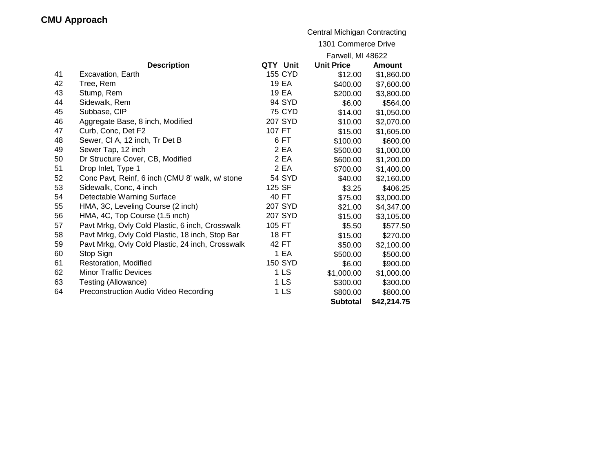## **CMU Approach**

|    |                                                  |                     | <b>Central Michigan Contracting</b> |               |  |  |
|----|--------------------------------------------------|---------------------|-------------------------------------|---------------|--|--|
|    |                                                  | 1301 Commerce Drive |                                     |               |  |  |
|    |                                                  |                     | Farwell, MI 48622                   |               |  |  |
|    | <b>Description</b>                               | QTY Unit            | <b>Unit Price</b>                   | <b>Amount</b> |  |  |
| 41 | Excavation, Earth                                | <b>155 CYD</b>      | \$12.00                             | \$1,860.00    |  |  |
| 42 | Tree, Rem                                        | 19 EA               | \$400.00                            | \$7,600.00    |  |  |
| 43 | Stump, Rem                                       | 19 EA               | \$200.00                            | \$3,800.00    |  |  |
| 44 | Sidewalk, Rem                                    | 94 SYD              | \$6.00                              | \$564.00      |  |  |
| 45 | Subbase, CIP                                     | <b>75 CYD</b>       | \$14.00                             | \$1,050.00    |  |  |
| 46 | Aggregate Base, 8 inch, Modified                 | 207 SYD             | \$10.00                             | \$2,070.00    |  |  |
| 47 | Curb, Conc, Det F2                               | 107 FT              | \$15.00                             | \$1,605.00    |  |  |
| 48 | Sewer, CI A, 12 inch, Tr Det B                   | 6 FT                | \$100.00                            | \$600.00      |  |  |
| 49 | Sewer Tap, 12 inch                               | 2 EA                | \$500.00                            | \$1,000.00    |  |  |
| 50 | Dr Structure Cover, CB, Modified                 | 2 EA                | \$600.00                            | \$1,200.00    |  |  |
| 51 | Drop Inlet, Type 1                               | 2 EA                | \$700.00                            | \$1,400.00    |  |  |
| 52 | Conc Pavt, Reinf, 6 inch (CMU 8' walk, w/ stone  | <b>54 SYD</b>       | \$40.00                             | \$2,160.00    |  |  |
| 53 | Sidewalk, Conc, 4 inch                           | 125 SF              | \$3.25                              | \$406.25      |  |  |
| 54 | Detectable Warning Surface                       | 40 FT               | \$75.00                             | \$3,000.00    |  |  |
| 55 | HMA, 3C, Leveling Course (2 inch)                | 207 SYD             | \$21.00                             | \$4,347.00    |  |  |
| 56 | HMA, 4C, Top Course (1.5 inch)                   | 207 SYD             | \$15.00                             | \$3,105.00    |  |  |
| 57 | Pavt Mrkg, Ovly Cold Plastic, 6 inch, Crosswalk  | 105 FT              | \$5.50                              | \$577.50      |  |  |
| 58 | Pavt Mrkg, Ovly Cold Plastic, 18 inch, Stop Bar  | 18 FT               | \$15.00                             | \$270.00      |  |  |
| 59 | Pavt Mrkg, Ovly Cold Plastic, 24 inch, Crosswalk | 42 FT               | \$50.00                             | \$2,100.00    |  |  |
| 60 | Stop Sign                                        | 1 EA                | \$500.00                            | \$500.00      |  |  |
| 61 | Restoration, Modified                            | <b>150 SYD</b>      | \$6.00                              | \$900.00      |  |  |
| 62 | <b>Minor Traffic Devices</b>                     | 1 <sub>LS</sub>     | \$1,000.00                          | \$1,000.00    |  |  |
| 63 | Testing (Allowance)                              | 1 <sub>LS</sub>     | \$300.00                            | \$300.00      |  |  |
| 64 | Preconstruction Audio Video Recording            | 1 <sub>LS</sub>     | \$800.00                            | \$800.00      |  |  |
|    |                                                  |                     | <b>Subtotal</b>                     | \$42,214.75   |  |  |